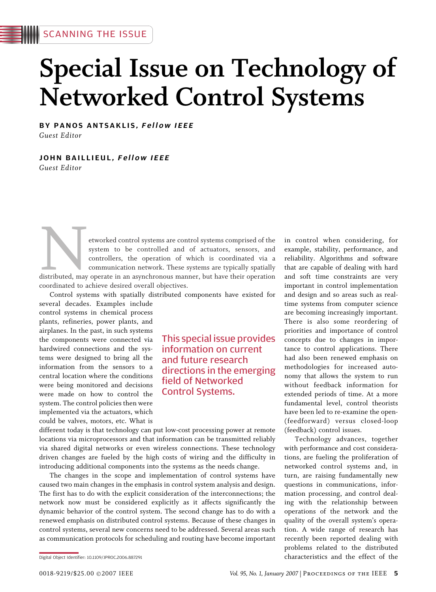# Special Issue on Technology of Networked Control Systems

BY PANOS ANTSAKLIS, Fellow IEEE Guest Editor

JOHN BAILLIEUL. Fellow IEEE Guest Editor

etworked control systems are control systems comprised of the system to be controlled and of actuators, sensors, and controllers, the operation of which is coordinated via a communication network. These systems are typical system to be controlled and of actuators, sensors, and controllers, the operation of which is coordinated via a communication network. These systems are typically spatially distributed, may operate in an asynchronous manner, but have their operation coordinated to achieve desired overall objectives.

Control systems with spatially distributed components have existed for

several decades. Examples include control systems in chemical process plants, refineries, power plants, and airplanes. In the past, in such systems the components were connected via hardwired connections and the systems were designed to bring all the information from the sensors to a central location where the conditions were being monitored and decisions were made on how to control the system. The control policies then were implemented via the actuators, which could be valves, motors, etc. What is

This special issue provides information on current and future research directions in the emerging field of Networked Control Systems.

different today is that technology can put low-cost processing power at remote locations via microprocessors and that information can be transmitted reliably via shared digital networks or even wireless connections. These technology driven changes are fueled by the high costs of wiring and the difficulty in introducing additional components into the systems as the needs change.

The changes in the scope and implementation of control systems have caused two main changes in the emphasis in control system analysis and design. The first has to do with the explicit consideration of the interconnections; the network now must be considered explicitly as it affects significantly the dynamic behavior of the control system. The second change has to do with a renewed emphasis on distributed control systems. Because of these changes in control systems, several new concerns need to be addressed. Several areas such as communication protocols for scheduling and routing have become important

Digital Object Identifier: 10.1109/JPROC.2006.887291

reliability. Algorithms and software that are capable of dealing with hard and soft time constraints are very important in control implementation and design and so areas such as realtime systems from computer science are becoming increasingly important. There is also some reordering of priorities and importance of control concepts due to changes in importance to control applications. There had also been renewed emphasis on methodologies for increased autonomy that allows the system to run without feedback information for extended periods of time. At a more fundamental level, control theorists have been led to re-examine the open- (feedforward) versus closed-loop (feedback) control issues.

in control when considering, for example, stability, performance, and

Technology advances, together with performance and cost considerations, are fueling the proliferation of networked control systems and, in turn, are raising fundamentally new questions in communications, information processing, and control dealing with the relationship between operations of the network and the quality of the overall system's operation. A wide range of research has recently been reported dealing with problems related to the distributed characteristics and the effect of the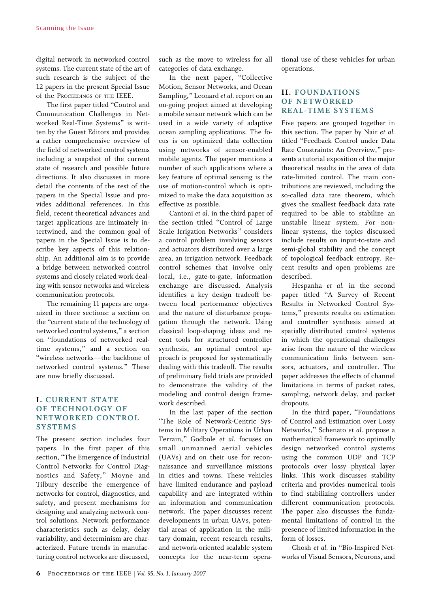digital network in networked control systems. The current state of the art of such research is the subject of the 12 papers in the present Special Issue of the PROCEEDINGS OF THE IEEE.

The first paper titled "Control and Communication Challenges in Networked Real-Time Systems" is written by the Guest Editors and provides a rather comprehensive overview of the field of networked control systems including a snapshot of the current state of research and possible future directions. It also discusses in more detail the contents of the rest of the papers in the Special Issue and provides additional references. In this field, recent theoretical advances and target applications are intimately intertwined, and the common goal of papers in the Special Issue is to describe key aspects of this relationship. An additional aim is to provide a bridge between networked control systems and closely related work dealing with sensor networks and wireless communication protocols.

The remaining 11 papers are organized in three sections: a section on the "current state of the technology of networked control systems," a section on "foundations of networked realtime systems," and a section on "wireless networks-the backbone of networked control systems." These are now briefly discussed.

## I. CURRENT STATE OF TECHNOLOGY OF NETWORKED CONTROL **SYSTEMS**

The present section includes four papers. In the first paper of this section, "The Emergence of Industrial Control Networks for Control Diagnostics and Safety," Moyne and Tilbury describe the emergence of networks for control, diagnostics, and safety, and present mechanisms for designing and analyzing network control solutions. Network performance characteristics such as delay, delay variability, and determinism are characterized. Future trends in manufacturing control networks are discussed,

such as the move to wireless for all categories of data exchange.

In the next paper, "Collective Motion, Sensor Networks, and Ocean Sampling," Leonard et al. report on an on-going project aimed at developing a mobile sensor network which can be used in a wide variety of adaptive ocean sampling applications. The focus is on optimized data collection using networks of sensor-enabled mobile agents. The paper mentions a number of such applications where a key feature of optimal sensing is the use of motion-control which is optimized to make the data acquisition as effective as possible.

Cantoni et al. in the third paper of the section titled "Control of Large Scale Irrigation Networks" considers a control problem involving sensors and actuators distributed over a large area, an irrigation network. Feedback control schemes that involve only local, i.e., gate-to-gate, information exchange are discussed. Analysis identifies a key design tradeoff between local performance objectives and the nature of disturbance propagation through the network. Using classical loop-shaping ideas and recent tools for structured controller synthesis, an optimal control approach is proposed for systematically dealing with this tradeoff. The results of preliminary field trials are provided to demonstrate the validity of the modeling and control design framework described.

In the last paper of the section "The Role of Network-Centric Systems in Military Operations in Urban Terrain," Godbole et al. focuses on small unmanned aerial vehicles (UAVs) and on their use for reconnaissance and surveillance missions in cities and towns. These vehicles have limited endurance and payload capability and are integrated within an information and communication network. The paper discusses recent developments in urban UAVs, potential areas of application in the military domain, recent research results, and network-oriented scalable system concepts for the near-term operational use of these vehicles for urban operations.

## II. FOUNDATIONS OF NETWORKED REAL-TIME SYSTEMS

Five papers are grouped together in this section. The paper by Nair et al. titled "Feedback Control under Data Rate Constraints: An Overview," presents a tutorial exposition of the major theoretical results in the area of data rate-limited control. The main contributions are reviewed, including the so-called data rate theorem, which gives the smallest feedback data rate required to be able to stabilize an unstable linear system. For nonlinear systems, the topics discussed include results on input-to-state and semi-global stability and the concept of topological feedback entropy. Recent results and open problems are described.

Hespanha et al. in the second paper titled "A Survey of Recent Results in Networked Control Systems," presents results on estimation and controller synthesis aimed at spatially distributed control systems in which the operational challenges arise from the nature of the wireless communication links between sensors, actuators, and controller. The paper addresses the effects of channel limitations in terms of packet rates, sampling, network delay, and packet dropouts.

In the third paper, "Foundations of Control and Estimation over Lossy Networks," Schenato et al. propose a mathematical framework to optimally design networked control systems using the common UDP and TCP protocols over lossy physical layer links. This work discusses stability criteria and provides numerical tools to find stabilizing controllers under different communication protocols. The paper also discusses the fundamental limitations of control in the presence of limited information in the form of losses.

Ghosh et al. in "Bio-Inspired Networks of Visual Sensors, Neurons, and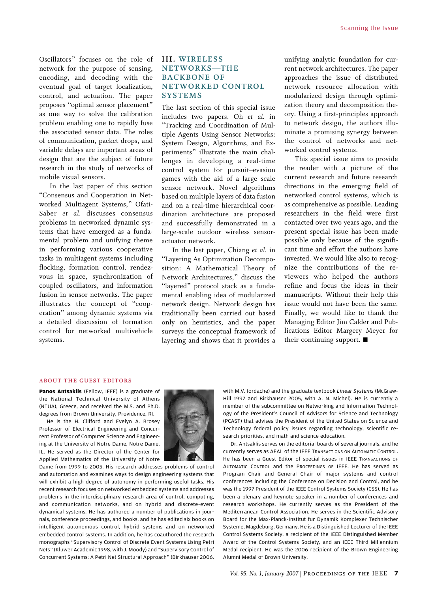Oscillators" focuses on the role of network for the purpose of sensing, encoding, and decoding with the eventual goal of target localization, control, and actuation. The paper proposes "optimal sensor placement" as one way to solve the calibration problem enabling one to rapidly fuse the associated sensor data. The roles of communication, packet drops, and variable delays are important areas of design that are the subject of future research in the study of networks of mobile visual sensors.

In the last paper of this section "Consensus and Cooperation in Networked Multiagent Systems," Ofati-Saber et al. discusses consensus problems in networked dynamic systems that have emerged as a fundamental problem and unifying theme in performing various cooperative tasks in multiagent systems including flocking, formation control, rendezvous in space, synchronization of coupled oscillators, and information fusion in sensor networks. The paper illustrates the concept of "cooperation" among dynamic systems via a detailed discussion of formation control for networked multivehicle systems.

#### III. WIRELESS NETWORKS-THE BACKBONE OF NETWORKED CONTROL **SYSTEMS**

The last section of this special issue includes two papers. Oh et al. in "Tracking and Coordination of Multiple Agents Using Sensor Networks: System Design, Algorithms, and Experiments" illustrate the main challenges in developing a real-time control system for pursuit-evasion games with the aid of a large scale sensor network. Novel algorithms based on multiple layers of data fusion and on a real-time hierarchical coordination architecture are proposed and successfully demonstrated in a large-scale outdoor wireless sensoractuator network.

In the last paper, Chiang et al. in "Layering As Optimization Decomposition: A Mathematical Theory of Network Architectures," discuss the "layered" protocol stack as a fundamental enabling idea of modularized network design. Network design has traditionally been carried out based only on heuristics, and the paper surveys the conceptual framework of layering and shows that it provides a unifying analytic foundation for current network architectures. The paper approaches the issue of distributed network resource allocation with modularized design through optimization theory and decomposition theory. Using a first-principles approach to network design, the authors illuminate a promising synergy between the control of networks and networked control systems.

This special issue aims to provide the reader with a picture of the current research and future research directions in the emerging field of networked control systems, which is as comprehensive as possible. Leading researchers in the field were first contacted over two years ago, and the present special issue has been made possible only because of the significant time and effort the authors have invested. We would like also to recognize the contributions of the reviewers who helped the authors refine and focus the ideas in their manuscripts. Without their help this issue would not have been the same. Finally, we would like to thank the Managing Editor Jim Calder and Publications Editor Margery Meyer for their continuing support.  $\blacksquare$ 

#### ABOUT THE GUEST EDITORS

Panos Antsaklis (Fellow, IEEE) is a graduate of the National Technical University of Athens (NTUA), Greece, and received the M.S. and Ph.D. degrees from Brown University, Providence, RI.

He is the H. Clifford and Evelyn A. Brosey Professor of Electrical Engineering and Concurrent Professor of Computer Science and Engineering at the University of Notre Dame, Notre Dame, IL. He served as the Director of the Center for Applied Mathematics of the University of Notre

Dame from 1999 to 2005. His research addresses problems of control and automation and examines ways to design engineering systems that will exhibit a high degree of autonomy in performing useful tasks. His recent research focuses on networked embedded systems and addresses problems in the interdisciplinary research area of control, computing, and communication networks, and on hybrid and discrete-event dynamical systems. He has authored a number of publications in journals, conference proceedings, and books, and he has edited six books on intelligent autonomous control, hybrid systems and on networked embedded control systems. In addition, he has coauthored the research monographs "Supervisory Control of Discrete Event Systems Using Petri Nets" (Kluwer Academic 1998, with J. Moody) and "Supervisory Control of Concurrent Systems: A Petri Net Structural Approach" (Birkhauser 2006,

with M.V. Iordache) and the graduate textbook Linear Systems (McGraw-Hill 1997 and Birkhauser 2005, with A. N. Michel). He is currently a member of the subcommittee on Networking and Information Technology of the President's Council of Advisors for Science and Technology (PCAST) that advises the President of the United States on Science and Technology federal policy issues regarding technology, scientific research priorities, and math and science education.

Dr. Antsaklis serves on the editorial boards of several journals, and he currently serves as AEAL of the IEEE TRANSACTIONS ON AUTOMATIC CONTROL. He has been a Guest Editor of special issues in IEEE TRANSACTIONS OF AUTOMATIC CONTROL and the PROCEEDINGS OF IEEE. He has served as Program Chair and General Chair of major systems and control conferences including the Conference on Decision and Control, and he was the 1997 President of the IEEE Control Systems Society (CSS). He has been a plenary and keynote speaker in a number of conferences and research workshops. He currently serves as the President of the Mediterranean Control Association. He serves in the Scientific Advisory Board for the Max-Planck-Institut fur Dynamik Komplexer Technischer Systeme, Magdeburg, Germany. He is a Distinguished Lecturer of the IEEE Control Systems Society, a recipient of the IEEE Distinguished Member Award of the Control Systems Society, and an IEEE Third Millennium Medal recipient. He was the 2006 recipient of the Brown Engineering Alumni Medal of Brown University.